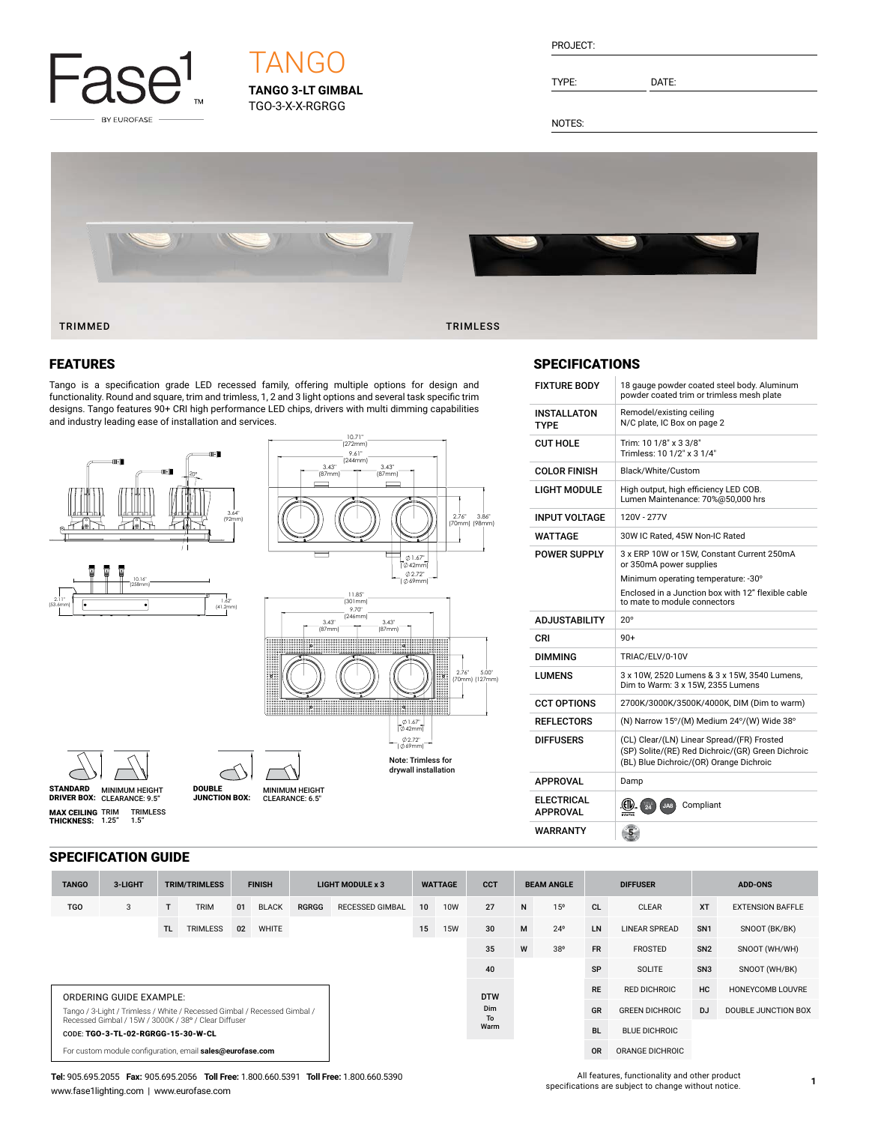

## **TANGO 3-LT GIMBAL** TGO-3-X-X-RGRGG **TANG**

PROJECT:

TYPE: DATE:

NOTES:



### FEATURES

Tango is a specification grade LED recessed family, offering multiple options for design and functionality. Round and square, trim and trimless, 1, 2 and 3 light options and several task specific trim designs. Tango features 90+ CRI high performance LED chips, drivers with multi dimming capabilities and industry leading ease of installation and services.



#### **SPECIFICATIONS**

| <b>FIXTURE BODY</b>                  | 18 gauge powder coated steel body. Aluminum<br>powder coated trim or trimless mesh plate                                                                                                           |
|--------------------------------------|----------------------------------------------------------------------------------------------------------------------------------------------------------------------------------------------------|
| <b>INSTALLATON</b><br><b>TYPF</b>    | Remodel/existing ceiling<br>N/C plate, IC Box on page 2                                                                                                                                            |
| <b>CUT HOLE</b>                      | Trim: 10 1/8" x 3 3/8"<br>Trimless: 10 1/2" x 3 1/4"                                                                                                                                               |
| <b>COLOR FINISH</b>                  | Black/White/Custom                                                                                                                                                                                 |
| LIGHT MODULE                         | High output, high efficiency LED COB.<br>Lumen Maintenance: 70%@50,000 hrs                                                                                                                         |
| <b>INPUT VOLTAGE</b>                 | 120V - 277V                                                                                                                                                                                        |
| WATTAGF                              | 30W IC Rated, 45W Non-IC Rated                                                                                                                                                                     |
| <b>POWER SUPPLY</b>                  | 3 x ERP 10W or 15W. Constant Current 250mA<br>or 350mA power supplies<br>Minimum operating temperature: -30°<br>Enclosed in a Junction box with 12" flexible cable<br>to mate to module connectors |
|                                      |                                                                                                                                                                                                    |
| <b>ADJUSTABILITY</b>                 | $20^{\circ}$                                                                                                                                                                                       |
| CRI                                  | $90+$                                                                                                                                                                                              |
| DIMMING                              | TRIAC/ELV/0-10V                                                                                                                                                                                    |
| <b>I UMFNS</b>                       | 3 x 10W, 2520 Lumens & 3 x 15W, 3540 Lumens,<br>Dim to Warm: 3 x 15W, 2355 Lumens                                                                                                                  |
| <b>CCT OPTIONS</b>                   | 2700K/3000K/3500K/4000K, DIM (Dim to warm)                                                                                                                                                         |
| <b>REFLECTORS</b>                    | (N) Narrow 15°/(M) Medium 24°/(W) Wide 38°                                                                                                                                                         |
| <b>DIFFUSERS</b>                     | (CL) Clear/(LN) Linear Spread/(FR) Frosted<br>(SP) Solite/(RE) Red Dichroic/(GR) Green Dichroic<br>(BL) Blue Dichroic/(OR) Orange Dichroic                                                         |
| <b>APPROVAL</b>                      | Damp                                                                                                                                                                                               |
| <b>ELECTRICAL</b><br><b>APPROVAL</b> | Compliant<br>JA8                                                                                                                                                                                   |

#### SPECIFICATION GUIDE

| <b>TANGO</b>                                                                                                                     | 3-LIGHT | <b>TRIM/TRIMLESS</b> |                 | <b>FINISH</b> |              | <b>LIGHT MODULE x 3</b> |                 | <b>WATTAGE</b> |            | <b>CCT</b> | <b>BEAM ANGLE</b> |                      | <b>DIFFUSER</b>       |                      | <b>ADD-ONS</b>      |                         |
|----------------------------------------------------------------------------------------------------------------------------------|---------|----------------------|-----------------|---------------|--------------|-------------------------|-----------------|----------------|------------|------------|-------------------|----------------------|-----------------------|----------------------|---------------------|-------------------------|
| <b>TGO</b>                                                                                                                       | 3       |                      | <b>TRIM</b>     | 01            | <b>BLACK</b> | <b>RGRGG</b>            | RECESSED GIMBAL | 10             | <b>10W</b> | 27         | N                 | 15 <sup>o</sup>      | <b>CL</b>             | <b>CLEAR</b>         | <b>XT</b>           | <b>EXTENSION BAFFLE</b> |
|                                                                                                                                  |         | TL.                  | <b>TRIMLESS</b> | 02            | <b>WHITE</b> |                         |                 | 15             | <b>15W</b> | 30         | M                 | $24^{\circ}$         | LN                    | <b>LINEAR SPREAD</b> | SN <sub>1</sub>     | SNOOT (BK/BK)           |
|                                                                                                                                  |         |                      |                 |               |              |                         |                 |                | 35         | W          | 38°               | <b>FR</b>            | <b>FROSTED</b>        | SN <sub>2</sub>      | SNOOT (WH/WH)       |                         |
|                                                                                                                                  |         |                      |                 |               |              |                         |                 |                |            | 40         |                   |                      | SP                    | <b>SOLITE</b>        | SN <sub>3</sub>     | SNOOT (WH/BK)           |
| ORDERING GUIDE EXAMPLE:                                                                                                          |         |                      |                 |               |              |                         |                 |                | <b>DTW</b> |            |                   | <b>RE</b>            | RED DICHROIC          | HC                   | HONEYCOMB LOUVRE    |                         |
| Tango / 3-Light / Trimless / White / Recessed Gimbal / Recessed Gimbal /<br>Recessed Gimbal / 15W / 3000K / 38° / Clear Diffuser |         |                      |                 |               |              |                         | Dim<br>To       |                |            |            |                   | GR                   | <b>GREEN DICHROIC</b> | DJ                   | DOUBLE JUNCTION BOX |                         |
| CODE: TGO-3-TL-02-RGRGG-15-30-W-CL                                                                                               |         |                      |                 |               |              |                         |                 | Warm           |            |            | <b>BL</b>         | <b>BLUE DICHROIC</b> |                       |                      |                     |                         |
| For custom module configuration, email sales@eurofase.com                                                                        |         |                      |                 |               |              |                         |                 |                |            |            | <b>OR</b>         | ORANGE DICHROIC      |                       |                      |                     |                         |

**Tel:** 905.695.2055 **Fax:** 905.695.2056 **Toll Free:** 1.800.660.5391 **Toll Free:** 1.800.660.5390 www.fase1lighting.com | www.eurofase.com

All features, functionality and other product specifications are subject to change without notice.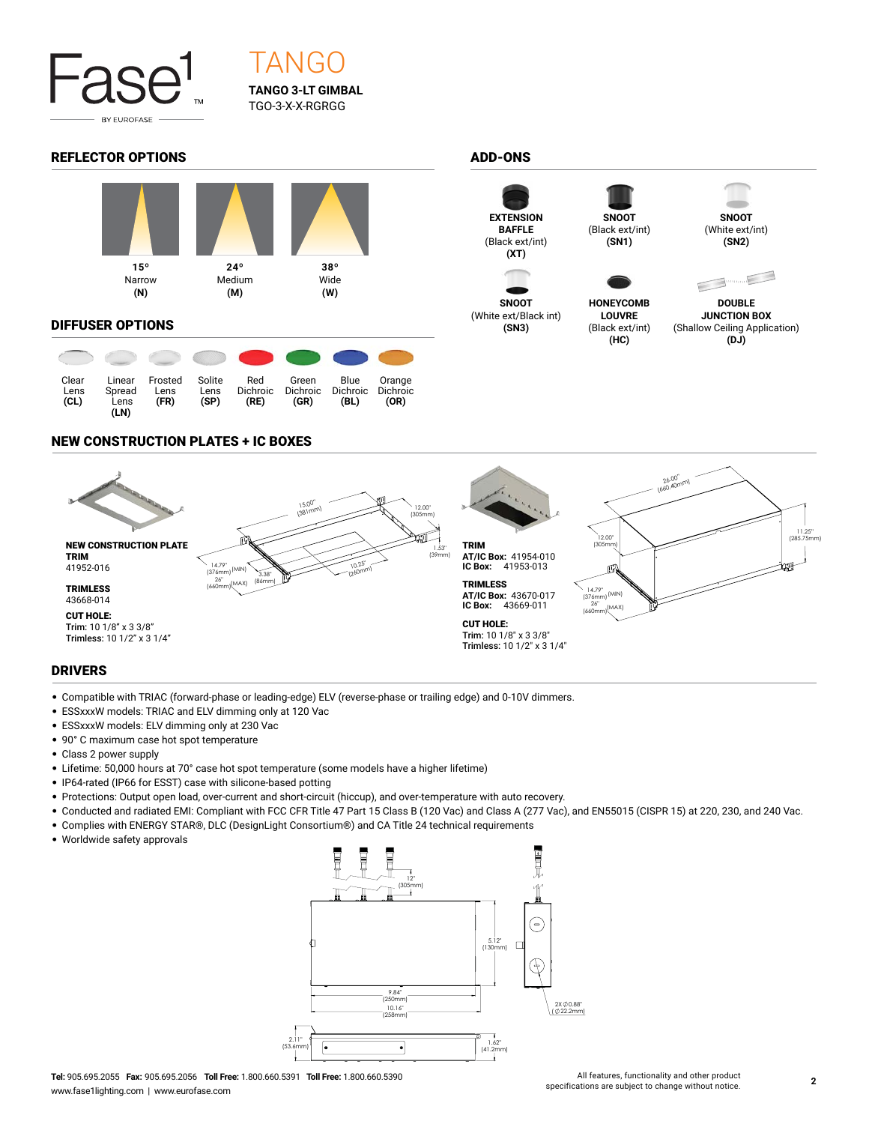

# TANGO **TANGO 3-LT GIMBAL** TGO-3-X-X-RGRGG

#### REFLECTOR OPTIONS ADD-ONS



#### DIFFUSER OPTIONS

| Clear<br>Lens<br>(CL) | Linear<br>Spread<br>Lens<br>(LN) | Frosted<br>Lens<br>(FR) | Solite<br>Lens<br>(SP) | Red<br>Dichroic<br>(RE) | Green<br><b>Dichroic</b><br>(GR) | Blue<br><b>Dichroic</b><br>(BL) | Orange<br><b>Dichroic</b><br>(OR) |
|-----------------------|----------------------------------|-------------------------|------------------------|-------------------------|----------------------------------|---------------------------------|-----------------------------------|



**SNOOT** (White ext/Black int) **(SN3)**





**HONEYCOMB LOUVRE** (Black ext/int) **(HC)**

(Black ext/int) **(SN1)**



(White ext/int) **(SN2)**



**DOUBLE JUNCTION BOX** (Shallow Ceiling Application) **(DJ)**

#### NEW CONSTRUCTION PLATES + IC BOXES



### DRIVERS

- Compatible with TRIAC (forward-phase or leading-edge) ELV (reverse-phase or trailing edge) and 0-10V dimmers.
- ESSxxxW models: TRIAC and ELV dimming only at 120 Vac
- ESSxxxW models: ELV dimming only at 230 Vac
- 90° C maximum case hot spot temperature
- Class 2 power supply
- Lifetime: 50,000 hours at 70° case hot spot temperature (some models have a higher lifetime)
- IP64-rated (IP66 for ESST) case with silicone-based potting
- Protections: Output open load, over-current and short-circuit (hiccup), and over-temperature with auto recovery.
- Conducted and radiated EMI: Compliant with FCC CFR Title 47 Part 15 Class B (120 Vac) and Class A (277 Vac), and EN55015 (CISPR 15) at 220, 230, and 240 Vac.
- Complies with ENERGY STAR®, DLC (DesignLight Consortium®) and CA Title 24 technical requirements
- Worldwide safety approvals